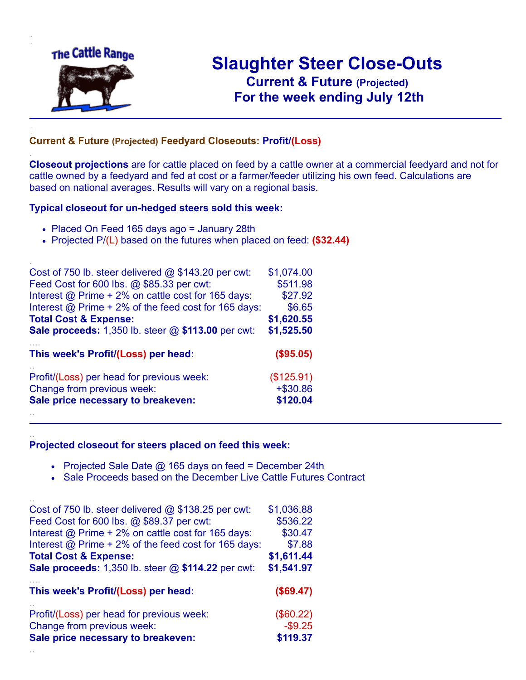

.

..

..

# **Slaughter Steer Close-Outs Current & Future (Projected)** .**For the week ending July 12th**

### **Current & Future (Projected) Feedyard Closeouts: Profit/(Loss)**

**Closeout projections** are for cattle placed on feed by a cattle owner at a commercial feedyard and not for cattle owned by a feedyard and fed at cost or a farmer/feeder utilizing his own feed. Calculations are based on national averages. Results will vary on a regional basis.

#### **Typical closeout for un-hedged steers sold this week:**

- Placed On Feed 165 days ago = January 28th
- Projected P/(L) based on the futures when placed on feed: **(\$32.44)**

| Cost of 750 lb. steer delivered $@$ \$143.20 per cwt:       | \$1,074.00 |
|-------------------------------------------------------------|------------|
| Feed Cost for 600 lbs. @ \$85.33 per cwt:                   | \$511.98   |
| Interest @ Prime + 2% on cattle cost for 165 days:          | \$27.92    |
| Interest $@$ Prime + 2% of the feed cost for 165 days:      | \$6.65     |
| <b>Total Cost &amp; Expense:</b>                            | \$1,620.55 |
| <b>Sale proceeds:</b> 1,350 lb. steer $@$ \$113.00 per cwt: | \$1,525.50 |
|                                                             |            |
| This week's Profit/(Loss) per head:                         | (\$95.05)  |
| Profit/(Loss) per head for previous week:                   | (\$125.91) |
| Change from previous week:                                  | $+ $30.86$ |
| Sale price necessary to breakeven:                          | \$120.04   |

#### **Projected closeout for steers placed on feed this week:**

- Projected Sale Date  $@$  165 days on feed = December 24th
- Sale Proceeds based on the December Live Cattle Futures Contract

| Cost of 750 lb. steer delivered $@$ \$138.25 per cwt:       | \$1,036.88 |
|-------------------------------------------------------------|------------|
| Feed Cost for 600 lbs. @ \$89.37 per cwt:                   | \$536.22   |
| Interest $\omega$ Prime + 2% on cattle cost for 165 days:   | \$30.47    |
| Interest $\omega$ Prime + 2% of the feed cost for 165 days: | \$7.88     |
| <b>Total Cost &amp; Expense:</b>                            | \$1,611.44 |
| <b>Sale proceeds:</b> 1,350 lb. steer $@$ \$114.22 per cwt: | \$1,541.97 |
| This week's Profit/(Loss) per head:                         | (\$69.47)  |
| Profit/(Loss) per head for previous week:                   | (\$60.22)  |
| Change from previous week:                                  | $-$ \$9.25 |
| Sale price necessary to breakeven:                          | \$119.37   |